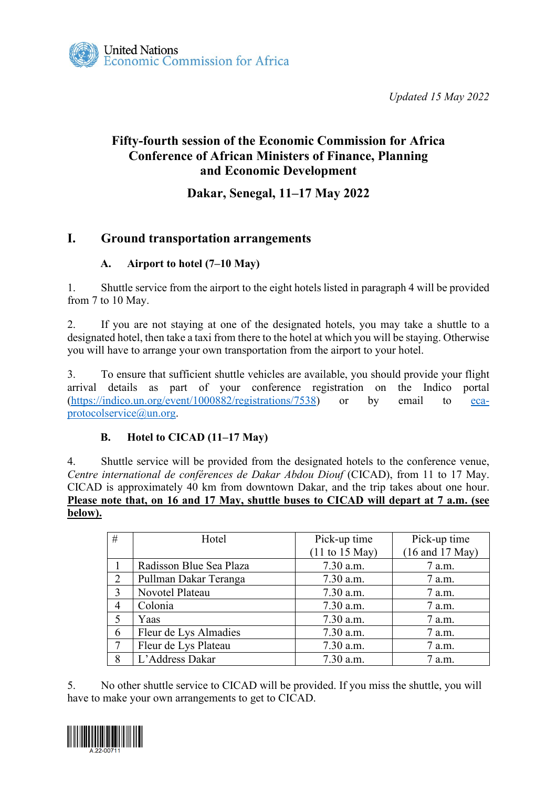*Updated 15 May 2022* 

# **Fifty-fourth session of the Economic Commission for Africa Conference of African Ministers of Finance, Planning and Economic Development**

### **Dakar, Senegal, 11–17 May 2022**

## **I. Ground transportation arrangements**

### **A. Airport to hotel (7–10 May)**

1. Shuttle service from the airport to the eight hotels listed in paragraph 4 will be provided from 7 to 10 May.

2. If you are not staying at one of the designated hotels, you may take a shuttle to a designated hotel, then take a taxi from there to the hotel at which you will be staying. Otherwise you will have to arrange your own transportation from the airport to your hotel.

3. To ensure that sufficient shuttle vehicles are available, you should provide your flight arrival details as part of your conference registration on the Indico portal [\(https://indico.un.org/event/1000882/registrations/7538\)](https://indico.un.org/event/1000882/registrations/7538) or by email to [eca](mailto:eca-protocolservice@un.org)[protocolservice@un.org.](mailto:eca-protocolservice@un.org)

### **B. Hotel to CICAD (11–17 May)**

4. Shuttle service will be provided from the designated hotels to the conference venue, *Centre international de conférences de Dakar Abdou Diouf* (CICAD), from 11 to 17 May. CICAD is approximately 40 km from downtown Dakar, and the trip takes about one hour. **Please note that, on 16 and 17 May, shuttle buses to CICAD will depart at 7 a.m. (see below).**

| #              | Hotel                   | Pick-up time       | Pick-up time    |
|----------------|-------------------------|--------------------|-----------------|
|                |                         | $(11$ to $15$ May) | (16 and 17 May) |
|                | Radisson Blue Sea Plaza | 7.30 a.m.          | 7 a.m.          |
| $\overline{2}$ | Pullman Dakar Teranga   | 7.30 a.m.          | 7 a.m.          |
| 3              | Novotel Plateau         | 7.30 a.m.          | 7 a.m.          |
| $\overline{4}$ | Colonia                 | 7.30 a.m.          | 7 a.m.          |
| 5              | Yaas                    | 7.30 a.m.          | 7 a.m.          |
| 6              | Fleur de Lys Almadies   | 7.30 a.m.          | 7 a.m.          |
| $\tau$         | Fleur de Lys Plateau    | 7.30 a.m.          | 7 a.m.          |
| 8              | L'Address Dakar         | 7.30 a.m.          | 7 a.m.          |

5. No other shuttle service to CICAD will be provided. If you miss the shuttle, you will have to make your own arrangements to get to CICAD.

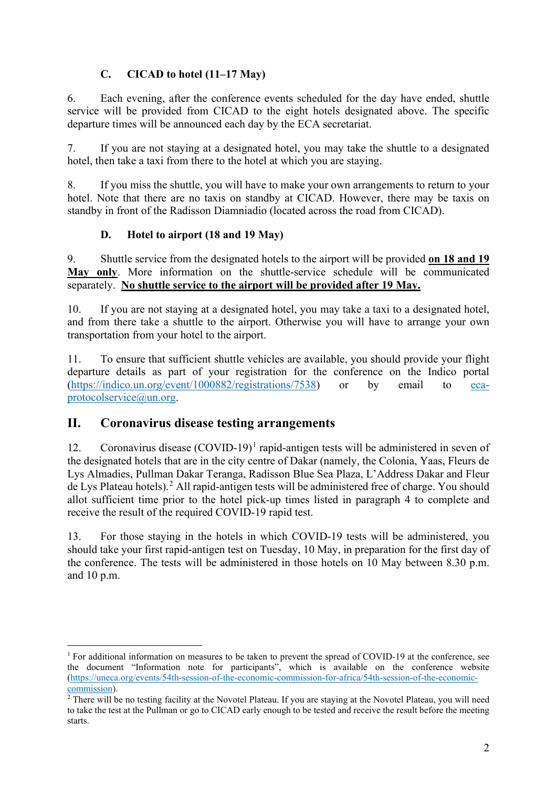### **C. CICAD to hotel (11–17 May)**

6. Each evening, after the conference events scheduled for the day have ended, shuttle service will be provided from CICAD to the eight hotels designated above. The specific departure times will be announced each day by the ECA secretariat.

7. If you are not staying at a designated hotel, you may take the shuttle to a designated hotel, then take a taxi from there to the hotel at which you are staying.

8. If you miss the shuttle, you will have to make your own arrangements to return to your hotel. Note that there are no taxis on standby at CICAD. However, there may be taxis on standby in front of the Radisson Diamniadio (located across the road from CICAD).

#### **D. Hotel to airport (18 and 19 May)**

9. Shuttle service from the designated hotels to the airport will be provided **on 18 and 19 May only**. More information on the shuttle-service schedule will be communicated separately. **No shuttle service to the airport will be provided after 19 May.**

10. If you are not staying at a designated hotel, you may take a taxi to a designated hotel, and from there take a shuttle to the airport. Otherwise you will have to arrange your own transportation from your hotel to the airport.

11. To ensure that sufficient shuttle vehicles are available, you should provide your flight departure details as part of your registration for the conference on the Indico portal [\(https://indico.un.org/event/1000882/registrations/7538\)](https://indico.un.org/event/1000882/registrations/7538) or by email to [eca](mailto:eca-protocolservice@un.org)[protocolservice@un.org.](mailto:eca-protocolservice@un.org)

### **II. Coronavirus disease testing arrangements**

[1](#page-1-0)2. Coronavirus disease  $(COVID-19)^1$  rapid-antigen tests will be administered in seven of the designated hotels that are in the city centre of Dakar (namely, the Colonia, Yaas, Fleurs de Lys Almadies, Pullman Dakar Teranga, Radisson Blue Sea Plaza, L'Address Dakar and Fleur de Lys Plateau hotels).[2](#page-1-1) All rapid-antigen tests will be administered free of charge. You should allot sufficient time prior to the hotel pick-up times listed in paragraph 4 to complete and receive the result of the required COVID-19 rapid test.

13. For those staying in the hotels in which COVID-19 tests will be administered, you should take your first rapid-antigen test on Tuesday, 10 May, in preparation for the first day of the conference. The tests will be administered in those hotels on 10 May between 8.30 p.m. and 10 p.m.

<span id="page-1-0"></span><sup>&</sup>lt;sup>1</sup> For additional information on measures to be taken to prevent the spread of COVID-19 at the conference, see the document "Information note for participants", which is available on the conference website [\(https://uneca.org/events/54th-session-of-the-economic-commission-for-africa/54th-session-of-the-economic](https://uneca.org/events/54th-session-of-the-economic-commission-for-africa/54th-session-of-the-economic-commission)[commission\)](https://uneca.org/events/54th-session-of-the-economic-commission-for-africa/54th-session-of-the-economic-commission).

<span id="page-1-1"></span><sup>&</sup>lt;sup>2</sup> There will be no testing facility at the Novotel Plateau. If you are staying at the Novotel Plateau, you will need to take the test at the Pullman or go to CICAD early enough to be tested and receive the result before the meeting starts.